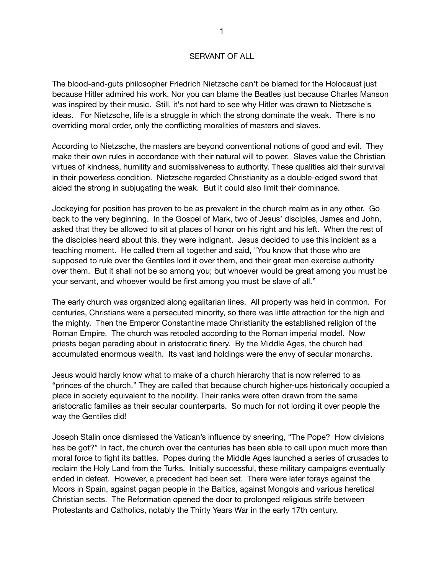## SERVANT OF ALL

The blood-and-guts philosopher Friedrich Nietzsche can't be blamed for the Holocaust just because Hitler admired his work. Nor you can blame the Beatles just because Charles Manson was inspired by their music. Still, it's not hard to see why Hitler was drawn to Nietzsche's ideas. For Nietzsche, life is a struggle in which the strong dominate the weak. There is no overriding moral order, only the conflicting moralities of masters and slaves.

According to Nietzsche, the masters are beyond conventional notions of good and evil. They make their own rules in accordance with their natural will to power. Slaves value the Christian virtues of kindness, humility and submissiveness to authority. These qualities aid their survival in their powerless condition. Nietzsche regarded Christianity as a double-edged sword that aided the strong in subjugating the weak. But it could also limit their dominance.

Jockeying for position has proven to be as prevalent in the church realm as in any other. Go back to the very beginning. In the Gospel of Mark, two of Jesus' disciples, James and John, asked that they be allowed to sit at places of honor on his right and his left. When the rest of the disciples heard about this, they were indignant. Jesus decided to use this incident as a teaching moment. He called them all together and said, "You know that those who are supposed to rule over the Gentiles lord it over them, and their great men exercise authority over them. But it shall not be so among you; but whoever would be great among you must be your servant, and whoever would be first among you must be slave of all."

The early church was organized along egalitarian lines. All property was held in common. For centuries, Christians were a persecuted minority, so there was little attraction for the high and the mighty. Then the Emperor Constantine made Christianity the established religion of the Roman Empire. The church was retooled according to the Roman imperial model. Now priests began parading about in aristocratic finery. By the Middle Ages, the church had accumulated enormous wealth. Its vast land holdings were the envy of secular monarchs.

Jesus would hardly know what to make of a church hierarchy that is now referred to as "princes of the church." They are called that because church higher-ups historically occupied a place in society equivalent to the nobility. Their ranks were often drawn from the same aristocratic families as their secular counterparts. So much for not lording it over people the way the Gentiles did!

Joseph Stalin once dismissed the Vatican's influence by sneering, "The Pope? How divisions has be got?" In fact, the church over the centuries has been able to call upon much more than moral force to fight its battles. Popes during the Middle Ages launched a series of crusades to reclaim the Holy Land from the Turks. Initially successful, these military campaigns eventually ended in defeat. However, a precedent had been set. There were later forays against the Moors in Spain, against pagan people in the Baltics, against Mongols and various heretical Christian sects. The Reformation opened the door to prolonged religious strife between Protestants and Catholics, notably the Thirty Years War in the early 17th century.